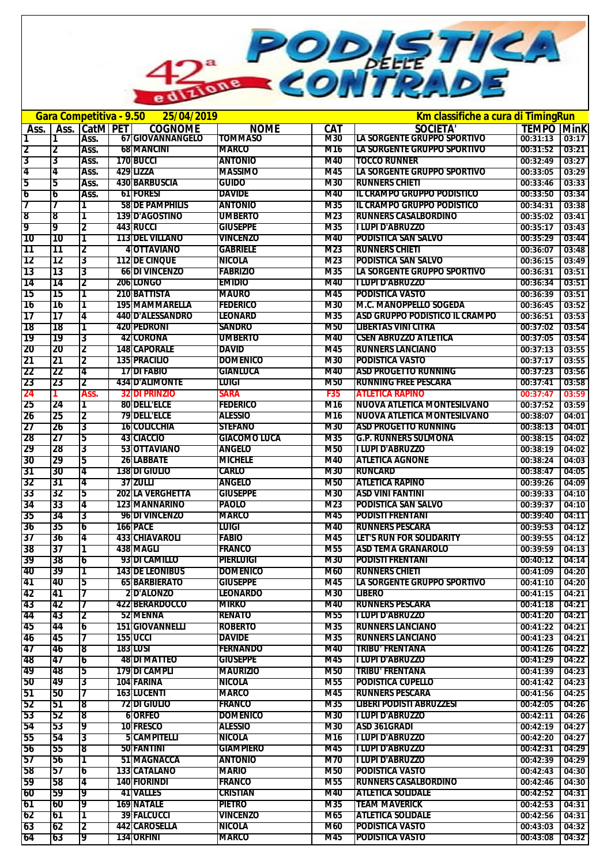PODETICA a

| Km classifiche a cura di TimingRun<br>Gara Competitiva - 9.50 25/04/2019 |          |               |  |                                            |                                    |            |                                                      |                      |                |
|--------------------------------------------------------------------------|----------|---------------|--|--------------------------------------------|------------------------------------|------------|------------------------------------------------------|----------------------|----------------|
| Ass.                                                                     |          | Ass. CatM PET |  | <b>COGNOME</b>                             | <b>NOME</b>                        | <b>CAT</b> | <b>SOCIETA'</b>                                      | <b>TEMPO Mink</b>    |                |
| 1                                                                        | 1        | Ass.          |  | 67 GIOVANNANGELO                           | <b>TOMMASO</b>                     | M30        | LA SORGENTE GRUPPO SPORTIVO                          | 00:31:13             | 03:17          |
| 2                                                                        | 2        | Ass.          |  | <b>68 MANCINI</b>                          | <b>MARCO</b>                       | M16        | LA SORGENTE GRUPPO SPORTIVO                          | 00:31:52             | 03:21          |
| 3                                                                        | 3        | Ass.          |  | 170 BUCCI                                  | <b>ANTONIO</b>                     | M40        | <b>TOCCO RUNNER</b>                                  | 00:32:49             | 03:27          |
| 4                                                                        | 4        | Ass.          |  | 429 LIZZA                                  | <b>MASSIMO</b>                     | M45        | LA SORGENTE GRUPPO SPORTIVO                          | 00:33:05             | 03:29          |
| 5                                                                        | 5        | Ass.          |  | <b>430 BARBUSCIA</b>                       | <b>GUIDO</b>                       | M30        | <b>RUNNERS CHIETI</b>                                | 00:33:46             | 03:33          |
| 6                                                                        | 6        | Ass.          |  | <b>61 FORESI</b>                           | <b>DAVIDE</b>                      | M40        | <b>IL CRAMPO GRUPPO PODISTICO</b>                    | 00:33:50             | 03:34          |
| 7                                                                        |          |               |  | <b>58 DE PAMPHILIS</b>                     | <b>ANTONIO</b>                     | M35        | <b>IL CRAMPO GRUPPO PODISTICO</b>                    | 00:34:31             | 03:38          |
| 8<br>19                                                                  | 8        |               |  | <b>139ID'AGOSTINO</b>                      | <b>UMBERTO</b>                     | M23        | <b>RUNNERS CASALBORDINO</b>                          | 00:35:02             | 03:41          |
|                                                                          | 19<br>Π0 | 2             |  | <b>443 RUCCI</b><br><b>113 DEL VILLANO</b> | <b>GIUSEPPE</b><br><b>VINCENZO</b> | M35<br>M40 | <b>TLUPI D'ABRUZZO</b><br><b>PODISTICA SAN SALVO</b> | 00:35:17<br>00:35:29 | 03:43<br>03:44 |
| <b>10</b><br>11                                                          | 11       | 1<br>2        |  | 4 OTTAVIANO                                | <b>GABRIELE</b>                    | M23        | <b>RUNNERS CHIETI</b>                                | 00:36:07             | 03:48          |
| 12                                                                       | 12       | 3             |  | <b>112IDE CINQUE</b>                       | <b>NICOLA</b>                      | M23        | <b>PODISTICA SAN SALVO</b>                           | 00:36:15             | 03:49          |
| 13                                                                       | 13       | 3             |  | <b>66IDI VINCENZO</b>                      | <b>FABRIZIO</b>                    | M35        | LA SORGENTE GRUPPO SPORTIVO                          | 00:36:31             | 03:51          |
| 14                                                                       | 14       | 2             |  | 206 LONGO                                  | <b>EMIDIO</b>                      | M40        | TLUPI D'ABRUZZO                                      | 00:36:34             | 03:51          |
| 15                                                                       | 15       | 1             |  | 210 BATTISTA                               | <b>MAURO</b>                       | M45        | <b>PODISTICA VASTO</b>                               | 00:36:39             | 03:51          |
| 16                                                                       | 16       |               |  | <b>195 MAMMARELLA</b>                      | <b>FEDERICO</b>                    | M30        | <b>M.C. MANOPPELLO SOGEDA</b>                        | 00:36:45             | 03:52          |
| 17                                                                       | 17       | 4             |  | <b>440ID'ALESSANDRO</b>                    | <b>LEONARD</b>                     | M35        | <b>ASD GRUPPO PODISTICO IL CRAMPO</b>                | 00:36:51             | 03:53          |
| 18                                                                       | 18       | 1             |  | <b>420IPEDRONI</b>                         | <b>SANDRO</b>                      | M50        | <b>LIBERTAS VINI CITRA</b>                           | 00:37:02             | 03:54          |
| 19                                                                       | 19       | 3             |  | <b>42 CORONA</b>                           | <b>UMBERTO</b>                     | M40        | <b>CSEN ABRUZZO ATLETICA</b>                         | 00:37:05             | 03:54          |
| 20                                                                       | 20       | 2             |  | <b>148 CAPORALE</b>                        | <b>DAVID</b>                       | M45        | <b>RUNNERS LANCIANO</b>                              | 00:37:13             | 03:55          |
| 21                                                                       | 21       | 2             |  | <b>135 PRACILIO</b>                        | <b>DOMENICO</b>                    | M30        | <b>PODISTICA VASTO</b>                               | 00:37:17             | 03:55          |
| 22                                                                       | 22       | 74            |  | <b>17 DI FABIO</b>                         | <b>GIANLUCA</b>                    | M40        | <b>ASD PROGETTO RUNNING</b>                          | 00:37:23             | 03:56          |
| 23                                                                       | 23       | 2             |  | <b>434ID'ALIMONTE</b>                      | Luigi                              | M50        | <b>RUNNING FREE PESCARA</b>                          | 00:37:41             | 03:58          |
| 24                                                                       |          | Ass.          |  | <b>32 DI PRINZIO</b>                       | Sara                               | <b>F35</b> | <b>ATLETICA RAPINO</b>                               | 00:37:47             | 03:59          |
| 25                                                                       | 24       |               |  | <b>80 DELL'ELCE</b>                        | <b>FEDERICO</b>                    | M16        | <b>NUOVA ATLETICA MONTESILVANO</b>                   | 00:37:52             | 03:59          |
| 26                                                                       | 25       | 2             |  | <b>79 DELL'ELCE</b>                        | <b>ALESSIO</b>                     | M16        | <b>NUOVA ATLETICA MONTESILVANO</b>                   | 00:38:07             | 04:01          |
| 27                                                                       | 26       | 3             |  | 16 COLICCHIA                               | <b>STEFANO</b>                     | M30        | <b>ASD PROGETTO RUNNING</b>                          | 00:38:13             | 04:01          |
| 28                                                                       | 27       | 5             |  | 43 CIACCIO                                 | <b>GIACOMO LUCA</b>                | M35        | <b>G.P. RUNNERS SULMONA</b>                          | 00:38:15             | 04:02          |
| 29                                                                       | 28       | 3             |  | 53 OTTAVIANO                               | <b>ANGELO</b>                      | M50        | <b>TLUPI D'ABRUZZO</b>                               | 00:38:19             | 04:02          |
| 30                                                                       | 29       | 5             |  | <b>26 LABBATE</b>                          | <b>MICHELE</b>                     | M40        | <b>ATLETICA AGNONE</b>                               | 00:38:24             | 04:03          |
| 31                                                                       | 30       | 4             |  | <b>138 DI GIULIO</b>                       | <b>CARLO</b>                       | M30        | <b>RUNCARD</b>                                       | 00:38:47             | 04:05          |
| 32                                                                       | 31       | 4             |  | <b>37 ZULLI</b>                            | <b>ANGELO</b>                      | <b>M50</b> | <b>ATLETICA RAPINO</b>                               | 00:39:26             | 04:09          |
| 33                                                                       | 32       | 5             |  | <b>202 LA VERGHETTA</b>                    | <b>GIUSEPPE</b>                    | M30        | <b>ASD VINI FANTINI</b>                              | 00:39:33             | 04:10          |
| 34                                                                       | 33       | 4             |  | <u>1231MANNARINO</u>                       | <b>PAOLO</b>                       | M23        | <b>PODISTICA SAN SALVO</b>                           | 00:39:37             | 04:10          |
| 35                                                                       | 34       | 3             |  | 96 DI VINCENZO                             | <b>MARCO</b>                       | M45        | <b>PODISTI FRENTANI</b>                              | 00:39:40             | 04:11          |
| 36                                                                       | 35       | 6             |  | 166 PACE                                   | LUIGI                              | M40        | <b>RUNNERS PESCARA</b>                               | 00:39:53             | 04:12          |
| 37                                                                       | 36       | 4             |  | 433 CHIAVAROLI                             | <b>FABIO</b>                       | M45        | LET'S RUN FOR SOLIDARITY                             | 00:39:55             | 04:12          |
| 38                                                                       | 37       | 1             |  | 438 MAGLI                                  | <b>FRANCO</b>                      | M55        | <b>ASD TEMA GRANAROLO</b>                            | 00:39:59             | 04:13          |
| 39                                                                       | 38       | 6             |  | 93 DI CAMILLO                              | PIERLUIGI                          | M30        | <b>PODISTI FRENTANI</b>                              | 00:40:12             | 04:14          |
| 40                                                                       | 59 J     |               |  | 143 DE LEONIBUS                            | <b>DOMENICO</b>                    | M60        | <b>RUNNERS CHIETI</b>                                | 00:41:09             | 04:20          |
| 41                                                                       | 40       | 15            |  | <b>65 BARBIERATO</b>                       | <b>GIUSEPPE</b>                    | M45        | LA SORGENTE GRUPPO SPORTIVO                          | 00:41:10             | 04:20          |
| 42                                                                       | 41       | 7             |  | <b>2D'ALONZO</b>                           | <b>LEONARDO</b>                    | M30        | <b>LIBERO</b>                                        | 00:41:15             | 04:21          |
| 43                                                                       | 42       | 17            |  | 422 BERARDOCCO                             | MIRKO                              | M40        | <b>RUNNERS PESCARA</b>                               | 00:41:18             | 04:21          |
| 44                                                                       | 43<br>44 | 2             |  | 52 MENNA<br><b>151 GIOVANNELLI</b>         | <b>RENATO</b><br><b>ROBERTO</b>    | M55<br>M35 | I LUPI D'ABRUZZO<br><b>RUNNERS LANCIANO</b>          | 00:41:20<br>00:41:22 | 04:21          |
| 45<br>46                                                                 | 45       | 6             |  | <b>155 UCCI</b>                            | <b>DAVIDE</b>                      | M35        | <b>RUNNERS LANCIANO</b>                              | 00:41:23             | 04:21<br>04:21 |
| 47                                                                       | 46       | 18            |  | <b>183 LUSI</b>                            | <b>FERNANDO</b>                    | M40        | <b>TRIBU' FRENTANA</b>                               | 00:41:26             | 04:22          |
| 48                                                                       | 47       | 6             |  | <b>48 DI MATTEO</b>                        | <b>GIUSEPPE</b>                    | M45        | <b>TLUPI D'ABRUZZO</b>                               | 00:41:29             | 04:22          |
| 49                                                                       | 48       | 5             |  | 179 DI CAMPLI                              | <b>MAURIZIO</b>                    | M50        | <b>TRIBU' FRENTANA</b>                               | 00:41:39             | 04:23          |
| 50                                                                       | 49       | 3             |  | 104 FARINA                                 | <b>NICOLA</b>                      | M55        | <b>PODISTICA CUPELLO</b>                             | 00:41:42             | 04:23          |
| 51                                                                       | 50       |               |  | 163 LUCENTI                                | <b>MARCO</b>                       | M45        | <b>RUNNERS PESCARA</b>                               | 00:41:56             | 04:25          |
| 52                                                                       | 51       | 18            |  | <b>72 DI GIULIO</b>                        | <b>FRANCO</b>                      | M35        | ILIBERI PODISTI ABRUZZESI                            | 00:42:05             | 04:26          |
| 53                                                                       | 52       | 18            |  | <b>6IORFEO</b>                             | <b>DOMENICO</b>                    | M30        | <b>TLUPI D'ABRUZZO</b>                               | 00:42:11             | 04:26          |
| 54                                                                       | 53       | 9             |  | <b>10 FRESCO</b>                           | <b>ALESSIO</b>                     | M30        | <b>ASD 361GRADI</b>                                  | 00:42:19             | 04:27          |
| 55                                                                       | 54       | 3             |  | <b>5 CAMPITELLI</b>                        | <b>NICOLA</b>                      | M16        | <b>I LUPI D'ABRUZZO</b>                              | 00:42:20             | 04:27          |
| 56                                                                       | 55       | 8             |  | <b>50 FANTINI</b>                          | <b>GIAMPIERO</b>                   | M45        | <b>I LUPI D'ABRUZZO</b>                              | 00:42:31             | 04:29          |
| 57                                                                       | 56       |               |  | 51 MAGNACCA                                | <b>ANTONIO</b>                     | M70        | II LUPI D'ABRUZZO                                    | 00:42:39             | 04:29          |
| 58                                                                       | 57       | 6             |  | <b>133 CATALANO</b>                        | <b>MARIO</b>                       | M50        | <b>PODISTICA VASTO</b>                               | 00:42:43             | 04:30          |
| 59                                                                       | 58       | 14            |  | 140 FIORINDI                               | <b>FRANCO</b>                      | M55        | <b>IRUNNERS CASALBORDINO</b>                         | 00:42:46             | 04:30          |
| 60                                                                       | 59       | 19            |  | <b>41 VALLES</b>                           | <b>CRISTIAN</b>                    | M40        | <b>ATLETICA SOLIDALE</b>                             | 00:42:52             | 04:31          |
| 61                                                                       | 60       | 19            |  | <b>169 NATALE</b>                          | <b>PIETRO</b>                      | M35        | <b>TEAM MAVERICK</b>                                 | 00:42:53             | 04:31          |
| 62                                                                       | 61       | ד             |  | <b>39 FALCUCCI</b>                         | <b>VINCENZO</b>                    | M65        | <b>ATLETICA SOLIDALE</b>                             | 00:42:56             | 04:31          |
| 63                                                                       | 62       | 12            |  | <b>442 CAROSELLA</b>                       | <b>NICOLA</b>                      | M60        | <b>PODISTICA VASTO</b>                               | 00:43:03             | 04:32          |
| 64                                                                       | 63       | 19            |  | <b>134 ORFINI</b>                          | MARCO                              | M45        | <b>PODISTICA VASTO</b>                               | 00:43:08             | 04:32          |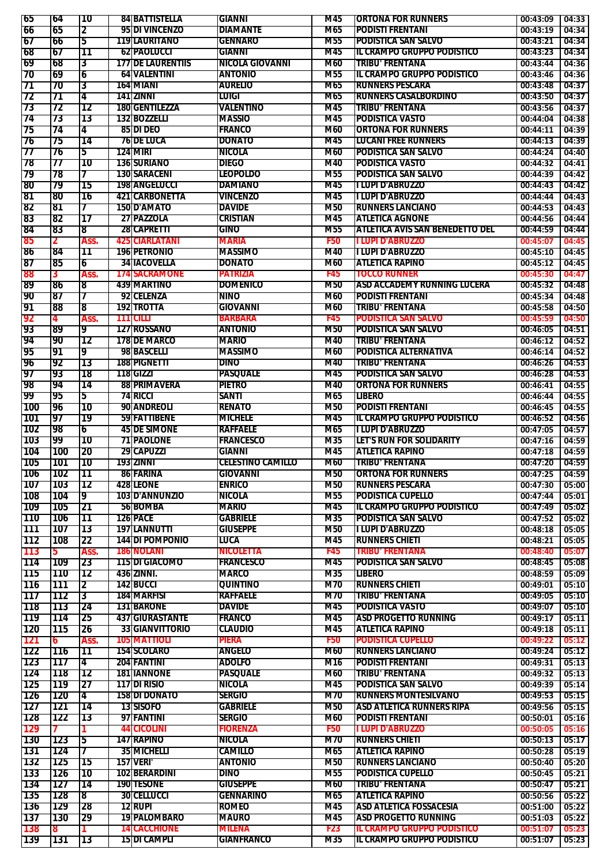| 65                              | 64       | 10             |     | <b>84 BATTISTELLA</b>    | <b>GIANNI</b>            | M45             | <b>ORTONA FOR RUNNERS</b>              | 00:43:09         | 04:33                                                                                                                               |
|---------------------------------|----------|----------------|-----|--------------------------|--------------------------|-----------------|----------------------------------------|------------------|-------------------------------------------------------------------------------------------------------------------------------------|
| 66                              | 65       | 2              |     | 95 DI VINCENZO           | <b>DIAMANTE</b>          | M65             | <b>PODISTI FRENTANI</b>                | 00:43:19         | 04:34                                                                                                                               |
| 67                              | 66       | 5              |     | 119 LAURITANO            | <b>GENNARO</b>           | M55             | <b>PODISTICA SAN SALVO</b>             | 00:43:21         | 04:34                                                                                                                               |
| 68                              | 67       | 11             |     | <b>62 PAOLUCCI</b>       | GIANNI                   | M45             | IL CRAMPO GRUPPO PODISTICO             | 00:43:23         | 04:34                                                                                                                               |
| 69                              | 68       | 3              |     | <b>177 DE LAURENTIIS</b> | <b>NICOLA GIOVANNI</b>   | M60             | <b>TRIBU' FRENTANA</b>                 | 00:43:44         | 04:36                                                                                                                               |
| 70                              | 69       | 6              |     | <b>64 VALENTINI</b>      | <b>ANTONIO</b>           | M55             | <b>IL CRAMPO GRUPPO PODISTICO</b>      | 00:43:46         | 04:36                                                                                                                               |
| 71                              | 70       | 3              |     | 164 MIANI                | <b>AURELIO</b>           | M65             | <b>RUNNERS PESCARA</b>                 | 00:43:48         | 04:37                                                                                                                               |
| 72                              | 71       | 4              |     | 141   ZINNI              | <b>LUIGI</b>             | M65             | <b>RUNNERS CASALBORDINO</b>            | 00:43:50         | 04:37                                                                                                                               |
| 73                              | 72       | 12             |     | <b>180 GENTILEZZA</b>    | VALENTINO                | M45             | <b>TRIBU' FRENTANA</b>                 | 00:43:56         | 04:37                                                                                                                               |
| 74                              | 73       | 13             |     | 132 BOZZELLI             | <b>MASSIO</b>            | M45             | <b>PODISTICA VASTO</b>                 | 00:44:04         | 04:38                                                                                                                               |
| 75                              | 74       | 4              |     | 85 DI DEO                | <b>FRANCO</b>            | M60             | <b>ORTONA FOR RUNNERS</b>              | 00:44:11         | 04:39                                                                                                                               |
| 76                              | 75       | 14             |     | <b>76 DE LUCA</b>        | <b>DONATO</b>            | M45             | <b>LUCANI FREE RUNNERS</b>             | 00:44:13         | 04:39                                                                                                                               |
| 77                              | 76       | 5              |     | 1241MIRI                 | <b>NICOLA</b>            | M60             | <b>PODISTICA SAN SALVO</b>             | 00:44:24         | 04:40                                                                                                                               |
| 78                              | 77       | 10             |     | 136 SURIANO              | <b>DIEGO</b>             | M40             | <b>PODISTICA VASTO</b>                 | 00:44:32         | 04:41                                                                                                                               |
| 79                              | 78       | 7              |     | 130 SARACENT             | <b>LEOPOLDO</b>          | M55             | <b>PODISTICA SAN SALVO</b>             | 00:44:39         | 04:42                                                                                                                               |
| 80                              | 79       | 15             |     | 198 ANGELUCCI            | <b>DAMIANO</b>           | M45             | <b>TLUPI D'ABRUZZO</b>                 | 00:44:43         | 04:42                                                                                                                               |
| 81                              | 80       | 16             |     | <b>421ICARBONETTA</b>    | <b>VINCENZO</b>          | M45             | <b>TLUPI D'ABRUZZO</b>                 | 00:44:44         | 04:43                                                                                                                               |
| 82                              | 181      | 7              |     | <b>150ID'AMATO</b>       | <b>DAVIDE</b>            | M50             | <b>RUNNERS LANCIANO</b>                | 00:44:53         | 04:43                                                                                                                               |
| 83                              |          | 17             |     | 27 PAZZOLA               | <b>CRISTIAN</b>          | M45             | <b>ATLETICA AGNONE</b>                 |                  | 04:44                                                                                                                               |
|                                 | 82       |                |     |                          |                          |                 |                                        | 00:44:56         |                                                                                                                                     |
| 84                              | 83       | 8              |     | 28 CAPRETTI              | <b>GINO</b>              | M <sub>55</sub> | <b>ATLETICA AVIS SAN BENEDETTO DEL</b> | 00:44:59         | 04:44                                                                                                                               |
| 85                              | 2        | Ass.           |     | <b>425 CIARLATANI</b>    | <b>MARIA</b>             | <b>F50</b>      | <b>I LUPI D'ABRUZZO</b>                | 00:45:07         | 04:45                                                                                                                               |
| 86                              | 84       | 11             |     | <b>196 PETRONIO</b>      | <b>MASSIMO</b>           | M40             | <b>I LUPI D'ABRUZZO</b>                | 00:45:10         | 04:45                                                                                                                               |
| 87                              | 85       | 6              |     | <b>34 IACOVELLA</b>      | <b>DONATO</b>            | M60             | <b>ATLETICA RAPINO</b>                 | 00:45:12         | 04:45                                                                                                                               |
| 88                              | 3        | Ass.           |     | <b>174 SACRAMONE</b>     | <b>PATRIZIA</b>          | <b>F45</b>      | <b>TOCCO RUNNER</b>                    | 00:45:30         | 04:47                                                                                                                               |
| 89                              | 86       | 8              |     | 439 MARTINO              | <b>DOMENICO</b>          | <b>M50</b>      | <b>ASD ACCADEMY RUNNING LUCERA</b>     | 00:45:32         | 04:48                                                                                                                               |
| 90                              | 187      | 7              |     | 92 CELENZA               | <b>NINO</b>              | M60             | <b>PODISTI FRENTANI</b>                | 00:45:34         | 04:48                                                                                                                               |
| 91                              | 88       | 8              |     | <b>192 TROTTA</b>        | GIOVANNI                 | M60             | <b>TRIBU' FRENTANA</b>                 | 00:45:58         | 04:50                                                                                                                               |
| 92                              | 4        | Ass.           | 111 | <b>TCILLI</b>            | <b>BARBARA</b>           | F45             | <b>PODISTICA SAN SALVO</b>             | 00:45:59         | 04:50                                                                                                                               |
| 93                              | 89       | 9              |     | 127 IROSSANO             | <b>ANTONIO</b>           | <b>M50</b>      | <b>PODISTICA SAN SALVO</b>             | 00:46:05         | 04:51                                                                                                                               |
| 94                              | 90       | 12             |     | <b>178 DE MARCO</b>      | <b>MARIO</b>             | M40             | <b>TRIBU' FRENTANA</b>                 | 00:46:12         | 04:52                                                                                                                               |
| 95                              | 91       | 9              |     | 98 BASCELLI              | <b>MASSIMO</b>           | M60             | <b>PODISTICA ALTERNATIVA</b>           | 00:46:14         | 04:52                                                                                                                               |
| 196                             | 92       | 13             |     | 188 PIGNETTI             | <b>DINO</b>              | M40             | <b>TRIBU' FRENTANA</b>                 | 00:46:26         | 04:53                                                                                                                               |
| 97                              | 93       | 78             |     | 118 GIZZI                | <b>PASQUALE</b>          | M45             | <b>PODISTICA SAN SALVO</b>             | 00:46:28         | 04:53                                                                                                                               |
| 198                             | 94       | 14             |     | 88 PRIMAVERA             | <b>PIETRO</b>            | M40             | <b>ORTONA FOR RUNNERS</b>              | 00:46:41         | 04:55                                                                                                                               |
| 99                              | 95       | 5              |     | 74 RICCI                 | SANTI                    | M65             | <b>LIBERO</b>                          | 00:46:44         | 04:55                                                                                                                               |
| 100                             | 196      | 10             |     | 90 ANDREOLI              | <b>RENATO</b>            | <b>M50</b>      | <b>PODISTI FRENTANI</b>                | 00:46:45         | 04:55                                                                                                                               |
| 101                             | 97       | 79             |     | 59 FATTIBENE             | <b>MICHELE</b>           | M45             | <b>IL CRAMPO GRUPPO PODISTICO</b>      | 00:46:52         | 04:56                                                                                                                               |
| 102                             | 98       | 6              |     | <b>45 DE SIMONE</b>      | <b>RAFFAELE</b>          | M65             | <b>TLUPI D'ABRUZZO</b>                 | 00:47:05         | 04:57                                                                                                                               |
| 103                             | 99       | 10             |     | <b>71 PAOLONE</b>        | <b>FRANCESCO</b>         | M35             | LET'S RUN FOR SOLIDARITY               | 00:47:16         | 04:59                                                                                                                               |
| 104                             | 100      | 20             |     | 29 CAPUZZI               | <b>GIANNI</b>            | M45             | <b>ATLETICA RAPINO</b>                 | 00:47:18         | 04:59                                                                                                                               |
|                                 |          |                |     |                          |                          | M60             | <b>TRIBU' FRENTANA</b>                 |                  |                                                                                                                                     |
|                                 |          |                |     |                          |                          |                 |                                        |                  |                                                                                                                                     |
| 105                             | 101      | 10             |     | 193 ZINNT                | <b>CELESTINO CAMILLO</b> |                 |                                        | 00:47:20         |                                                                                                                                     |
| 106                             | 1102     | 11             |     | 86 FARINA                | <b>GIOVANNI</b>          | M50             | <b>ORTONA FOR RUNNERS</b>              | $00:47:25$ 04:59 |                                                                                                                                     |
| 107                             | 103      | 12             |     | 428 LEONE                | <b>ENRICO</b>            | M50             | <b>RUNNERS PESCARA</b>                 | 00:47:30         |                                                                                                                                     |
| 108                             | 104      | 9              |     | 103 D'ANNUNZIO           | NICOLA                   | M55             | <b>PODISTICA CUPELLO</b>               | 00:47:44         |                                                                                                                                     |
| 109                             | 105      | 21             |     | 56 BOMBA                 | MARIO                    | M45             | IL CRAMPO GRUPPO PODISTICO             | 00:47:49         |                                                                                                                                     |
| 110                             | 106      | 11             |     | 126 PACE                 | <b>GABRIELE</b>          | M35             | <b>PODISTICA SAN SALVO</b>             | 00:47:52         |                                                                                                                                     |
| 111                             | 107      | 13             |     | 197 LANNUTTI             | <b>GIUSEPPE</b>          | M50             | <b>TLUPI D'ABRUZZO</b>                 | 00:48:18         |                                                                                                                                     |
| 112                             | 108      | 22             |     | 144 DI POMPONIO          | luca                     | M45             | <b>RUNNERS CHIETI</b>                  | 00:48:21         |                                                                                                                                     |
| 113                             | 5.       | Ass.           |     | 186 NOLANI               | NICOLETTA                | F45             | <b>TRIBU' FRENTANA</b>                 | 00:48:40         |                                                                                                                                     |
| 114                             | 109      | 23             |     | 115 DI GIACOMO           | <b>FRANCESCO</b>         | M45             | <b>PODISTICA SAN SALVO</b>             | 00:48:45         |                                                                                                                                     |
| 115                             | 110      | 12             |     | 436 ZINNI.               | <b>MARCO</b>             | M35             | LIBERO                                 | 00:48:59         |                                                                                                                                     |
|                                 | 111      | $\overline{2}$ |     | <b>142 BUCCI</b>         | <b>QUINTINO</b>          | M70             | <b>RUNNERS CHIETI</b>                  | 00:49:01         |                                                                                                                                     |
|                                 | 112      | $\overline{3}$ |     | 184 MARFISI              | <b>RAFFAELE</b>          | M70             | <b>TRIBU' FRENTANA</b>                 | 00:49:05         |                                                                                                                                     |
| 118                             | 113      | 24             |     | <b>131 BARONE</b>        | <b>DAVIDE</b>            | M45             | PODISTICA VASTO                        | 00:49:07         |                                                                                                                                     |
|                                 | 114      | 25             |     | <b>437 GIURASTANTE</b>   | <b>FRANCO</b>            | M45             | <b>ASD PROGETTO RUNNING</b>            | 00:49:17         |                                                                                                                                     |
|                                 |          |                |     | <b>33 GIANVITTORIO</b>   | <b>CLAUDIO</b>           | M45             | <b>ATLETICA RAPINO</b>                 | 00:49:18         | 04:59<br>05:00<br>05:01<br>05:02<br>05:02<br>05:05<br>05:05<br>05:07<br>05:08<br>05:09<br>05:10<br>05:10<br>05:10<br>05:11<br>05:11 |
| <b>116</b><br>117<br>119<br>120 | 115<br>6 | 26             |     |                          |                          | <b>F50</b>      |                                        |                  |                                                                                                                                     |
| 121                             |          | Ass.           |     | 105 MATTIOLI             | PIERA                    |                 | <b>PODISTICA CUPELLO</b>               | 00:49:22         | 05:12                                                                                                                               |
| 122                             | 116      | 11             |     | <b>154 SCOLARO</b>       | <b>ANGELO</b>            | M60             | <b>RUNNERS LANCIANO</b>                | 00:49:24         | 05:12                                                                                                                               |
| 123                             | 117      | 4              |     | 204 FANTINI              | <b>ADOLFO</b>            | M16             | <b>PODISTI FRENTANI</b>                | 00:49:31         | 05:13                                                                                                                               |
| 124                             | 118      | 12             |     | <b>181 IANNONE</b>       | <b>PASQUALE</b>          | M60             | <b>TRIBU' FRENTANA</b>                 | 00:49:32         | 05:13                                                                                                                               |
| 125                             | 119      | 27             |     | 117 DI RISIO             | <b>NICOLA</b>            | M45             | <b>PODISTICA SAN SALVO</b>             | 00:49:39         | 05:14                                                                                                                               |
| <b>126</b>                      | 120      | 4              |     | <b>158 DI DONATO</b>     | <b>SERGIO</b>            | M70             | <b>RUNNERS MONTESILVANO</b>            | 00:49:53         | 05:15                                                                                                                               |
| 127                             | 121      | 14             |     | <b>13 SISOFO</b>         | <b>GABRIELE</b>          | M50             | <b>ASD ATLETICA RUNNERS RIPA</b>       | 00:49:56         | 05:15                                                                                                                               |
| 128                             | 122      | 13             |     | 97 FANTINI               | <b>SERGIO</b>            | M60             | <b>PODISTI FRENTANI</b>                | 00:50:01         | 05:16                                                                                                                               |
| 129                             |          |                |     | <b>44 CICOLINI</b>       | <b>FIORENZA</b>          | <b>F50</b>      | <b>I LUPI D'ABRUZZO</b>                | 00:50:05         | 05:16                                                                                                                               |
| 130                             | 123      | 15             |     | 147 RAPINO               | <b>NICOLA</b>            | M70             | <b>RUNNERS CHIETI</b>                  | 00:50:13         |                                                                                                                                     |
| 131                             | 124      | T              |     | 35 MICHELLI              | <b>CAMILLO</b>           | M65             | <b>ATLETICA RAPINO</b>                 | 00:50:28         |                                                                                                                                     |
| 132                             | 125      | 15             |     | 157 VERI'                | <b>ANTONIO</b>           | M50             | <b>RUNNERS LANCIANO</b>                | 00:50:40         |                                                                                                                                     |
| 133                             | 126      | 10             |     | 102 BERARDINI            | <b>DINO</b>              | M55             | <b>PODISTICA CUPELLO</b>               | 00:50:45         |                                                                                                                                     |
| 134                             | 127      | 14             |     | <b>190 TESONE</b>        | <b>GIUSEPPE</b>          | M60             | <b>TRIBU' FRENTANA</b>                 | 00:50:47         |                                                                                                                                     |
| 135                             | 128      | 18             |     | <b>30 CELLUCCI</b>       | <b>GENNARINO</b>         | M65             | <b>ATLETICA RAPINO</b>                 | 00:50:56         | 05:17<br>05:19<br>05:20<br>05:21<br>05:21<br>05:22                                                                                  |
| 136                             | 129      | 28             |     | <b>12 RUPI</b>           | <b>ROMEO</b>             | M45             | <b>ASD ATLETICA FOSSACESIA</b>         | 00:51:00         | 05:22                                                                                                                               |
| 137                             | 130      | 29             |     | 19 PALOMBARO             | <b>MAURO</b>             | M45             | <b>ASD PROGETTO RUNNING</b>            | 00:51:03         |                                                                                                                                     |
| 138                             | 8        |                |     | <b>14 CACCHIONE</b>      | MILENA                   | <b>F23</b>      | <b>IL CRAMPO GRUPPO PODISTICO</b>      | 00:51:07         | 05:22<br>05:23                                                                                                                      |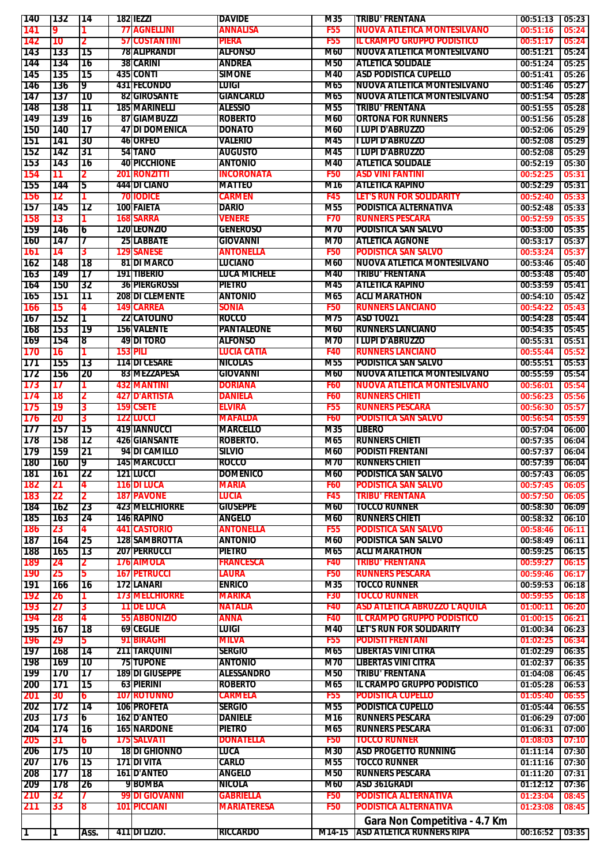| 140        | 132   | 14        |     | 182 IEZZT              | <b>DAVIDE</b>      | M35        | <b>TRIBU' FRENTANA</b>               | 00:51:13 | 05:23 |
|------------|-------|-----------|-----|------------------------|--------------------|------------|--------------------------------------|----------|-------|
| 141        | 9     |           |     | <b>77 AGNELLINI</b>    | ANNALISA           | <b>F55</b> | NUOVA ATLETICA MONTESILVANO          | 00:51:16 | 05:24 |
|            |       |           |     |                        |                    |            |                                      |          |       |
| 142        | 10    | 2         |     | <b>57 COSTANTINI</b>   | PIERA              | <b>F55</b> | <b>IL CRAMPO GRUPPO PODISTICO</b>    | 00:51:17 | 05:24 |
| 143        | 133   | 15        |     | <b>78 ALIPRANDI</b>    | <b>ALFONSO</b>     | M60        | INUOVA ATLETICA MONTESILVANO         | 00:51:21 | 05:24 |
| 144        | 134   | ٦6        |     | <b>38 CARINI</b>       | <b>ANDREA</b>      | <b>M50</b> | <b>ATLETICA SOLIDALE</b>             | 00:51:24 | 05:25 |
| 145        | 135   | 15        |     | <b>435 CONTI</b>       | <b>SIMONE</b>      | M40        | <b>ASD PODISTICA CUPELLO</b>         | 00:51:41 | 05:26 |
|            |       |           |     |                        | <b>LUIGI</b>       |            | <b>NUOVA ATLETICA MONTESILVANO</b>   |          | 05:27 |
| 146        | 136   | 9         |     | 431 FECONDO            |                    | M65        |                                      | 00:51:46 |       |
| 147        | 137   | <b>10</b> |     | <b>82 GIROSANTE</b>    | <b>GIANCARLO</b>   | M65        | INUOVA ATLETICA MONTESILVANO         | 00:51:54 | 05:28 |
| 148        | 138   | 11        |     | <b>185 MARINELLI</b>   | <b>ALESSIO</b>     | <b>M55</b> | <b>TRIBU' FRENTANA</b>               | 00:51:55 | 05:28 |
| 149        | 139   | ٦6        |     | 87 GIAMBUZZI           | <b>ROBERTO</b>     | M60        | <b>ORTONA FOR RUNNERS</b>            | 00:51:56 | 05:28 |
|            |       |           |     |                        |                    |            | <b>TLUPI D'ABRUZZO</b>               |          |       |
| 150        | 140   | 17        |     | <b>47IDI DOMENICA</b>  | <b>DONATO</b>      | M60        |                                      | 00:52:06 | 05:29 |
| 151        | 141   | 30        |     | 46 ORFEO               | <b>VALERIO</b>     | M45        | II LUPI D'ABRUZZO                    | 00:52:08 | 05:29 |
| 152        | 142   | 31        |     | 54 TANO                | <b>AUGUSTO</b>     | M45        | <b>I LUPI D'ABRUZZO</b>              | 00:52:08 | 05:29 |
| 153        | 143   | 16        |     | <b>40 PICCHIONE</b>    | <b>ANTONIO</b>     | M40        | <b>ATLETICA SOLIDALE</b>             | 00:52:19 | 05:30 |
| 154        | 11    |           |     | <b>201 RONZITTI</b>    | <b>INCORONATA</b>  | <b>F50</b> | <b>ASD VINI FANTINI</b>              | 00:52:25 |       |
|            |       | 2         |     |                        |                    |            |                                      |          | 05:31 |
| 155        | 144   | 5         |     | 444 DI CIANO           | <b>MATTEO</b>      | M16        | <b>ATLETICA RAPINO</b>               | 00:52:29 | 05:31 |
| 156        | 12    |           |     | <b>70 IODICE</b>       | <b>CARMEN</b>      | F45        | LET'S RUN FOR SOLIDARITY             | 00:52:40 | 05:33 |
| 157        | 145   | 12        |     | 100 FAIETA             | <b>DARIO</b>       | M55        | <b>PODISTICA ALTERNATIVA</b>         | 00:52:48 | 05:33 |
| 158        | 13    |           |     | <b>168 SARRA</b>       | <b>VENERE</b>      | <b>F70</b> | <b>RUNNERS PESCARA</b>               | 00:52:59 | 05:35 |
|            |       |           |     |                        |                    |            |                                      |          |       |
| 159        | 146   | 6         |     | <b>120ILEONZIO</b>     | <b>GENEROSO</b>    | M70        | <b>PODISTICA SAN SALVO</b>           | 00:53:00 | 05:35 |
| 160        | 147   | 7         |     | <b>25 LABBATE</b>      | <b>GIOVANNI</b>    | M70        | <b>ATLETICA AGNONE</b>               | 00:53:17 | 05:37 |
| 161        | 14    | 3         | 129 | <b>SANESE</b>          | ANTONELLA          | <b>F50</b> | <b>PODISTICA SAN SALVO</b>           | 00:53:24 | 05:37 |
|            | 148   | 18        |     | <b>81 DI MARCO</b>     | <b>LUCIANO</b>     | M60        | INUOVA ATLETICA MONTESILVANO         | 00:53:46 | 05:40 |
| 162        |       |           |     |                        |                    |            |                                      |          |       |
| 163        | 149   | 17        |     | <b>191ITIBERIO</b>     | LUCA MICHELE       | M40        | <b>TRIBU' FRENTANA</b>               | 00:53:48 | 05:40 |
| 164        | 150   | 32        |     | <b>36 PIERGROSSI</b>   | <b>PIETRO</b>      | M45        | <b>ATLETICA RAPINO</b>               | 00:53:59 | 05:41 |
| 165        | 151   | 11        |     | <b>208 DI CLEMENTE</b> | <b>ANTONIO</b>     | M65        | <b>ACLI MARATHON</b>                 | 00:54:10 | 05:42 |
| 166        |       | 4         |     | <b>149 CARREA</b>      | <b>SONIA</b>       | <b>F50</b> | <b>RUNNERS LANCIANO</b>              | 00:54:22 | 05:43 |
|            | 15    |           |     |                        |                    |            |                                      |          |       |
| 167        | 152   | Τ         |     | <b>22ICATOLINO</b>     | <b>ROCCO</b>       | M75        | <b>ASD TO021</b>                     | 00:54:28 | 05:44 |
| <b>168</b> | 153   | 19        |     | <b>156 VALENTE</b>     | <b>PANTALEONE</b>  | M60        | <b>RUNNERS LANCIANO</b>              | 00:54:35 | 05:45 |
| 169        | 154   | 8         |     | <b>49 DI TORO</b>      | <b>ALFONSO</b>     | M70        | <b>TLUPI D'ABRUZZO</b>               | 00:55:31 | 05:51 |
| 170        | 16    |           |     | 153 PILI               | <b>LUCIA CATIA</b> | F40        | <b>RUNNERS LANCIANO</b>              |          |       |
|            |       |           |     |                        |                    |            |                                      | 00:55:44 | 05:52 |
| 171        | 155   | 13        |     | <b>114 DI CESARE</b>   | <b>NICOLAS</b>     | M55        | <b>PODISTICA SAN SALVO</b>           | 00:55:51 | 05:53 |
| 172        | 156   | 20        |     | 83 MEZZAPESA           | GIOVANNI           | M60        | <b>NUOVA ATLETICA MONTESILVANO</b>   | 00:55:59 | 05:54 |
| 173        | 17    |           |     | <b>432 MANTINI</b>     | <b>DORIANA</b>     | <b>F60</b> | <b>NUOVA ATLETICA MONTESILVANO</b>   | 00:56:01 | 05:54 |
|            |       |           |     | <b>427 D'ARTISTA</b>   | DANIELA            | <b>F60</b> | <b>RUNNERS CHIETI</b>                |          |       |
| 174        | 18    | 2         |     |                        |                    |            |                                      | 00:56:23 | 05:56 |
| 175        | 19    | 3         |     | 159 CSETE              | ELVIRA             | <b>F55</b> | <b>RUNNERS PESCARA</b>               | 00:56:30 | 05:57 |
| 176        | 20    | 3         | 122 | <b>LUCCI</b>           | <b>MAFALDA</b>     | <b>F60</b> | <b>PODISTICA SAN SALVO</b>           | 00:56:54 | 05:59 |
| 177        | 157   | 15        |     | 419 IANNUCCI           | <b>MARCELLO</b>    | M35        | <b>LIBERO</b>                        | 00:57:04 | 06:00 |
| 178        | 158   | 12        |     | <b>426 GIANSANTE</b>   | ROBERTO.           | M65        | <b>IRUNNERS CHIETI</b>               | 00:57:35 | 06:04 |
|            |       |           |     |                        |                    |            |                                      |          |       |
| 179        | 159   | 21        |     | 94 DI CAMILLO          | SILVIO             | M60        | <b>PODISTI FRENTANI</b>              | 00:57:37 | 06:04 |
| <b>180</b> | l 160 | 9         |     | <b>145 MARCUCCI</b>    | <b>ROCCO</b>       | M70        | <b>IRUNNERS CHIETI</b>               | 00:57:39 | 06:04 |
| 181        | 1161  | 22        |     | 121 LUCCI              | <b>DOMENICO</b>    | M60        | <b>PODISTICA SAN SALVO</b>           | 00:57:43 | 06:05 |
| 182        | 21    | 4         |     | <b>116 DI LUCA</b>     | <b>MARIA</b>       | <b>F60</b> | <b>PODISTICA SAN SALVO</b>           | 00:57:45 | 06:05 |
|            |       |           |     |                        |                    |            |                                      |          |       |
| 183        | 22    | 2         |     | <b>187 PAVONE</b>      | LUCIA              | F45        | <b>TRIBU' FRENTANA</b>               | 00:57:50 | 06:05 |
| 184        | 162   | 23        |     | <b>423 MELCHIORRE</b>  | <b>GIUSEPPE</b>    | M60        | <b>TOCCO RUNNER</b>                  | 00:58:30 | 06:09 |
| 185        | 163   | 24        |     | <b>146 RAPINO</b>      | <b>ANGELO</b>      | M60        | <b>RUNNERS CHIETI</b>                | 00:58:32 | 06:10 |
| 186        | 23    | 4         |     | <b>441 CASTORIO</b>    | <b>ANTONELLA</b>   | <b>F55</b> | <b>PODISTICA SAN SALVO</b>           | 00:58:46 | 06:11 |
|            |       |           |     |                        |                    |            |                                      |          |       |
| 187        | 164   | 25        |     | <b>128 SAMBROTTA</b>   | <b>ANTONIO</b>     | M60        | <b>PODISTICA SAN SALVO</b>           | 00:58:49 | 06:11 |
| 188        | 165   | 13        |     | <b>207 PERRUCCI</b>    | PIETRO             | M65        | <b>ACLI MARATHON</b>                 | 00:59:25 | 06:15 |
| 189        | 24    | 2         |     | <b>176 AIMOLA</b>      | <b>FRANCESCA</b>   | F40        | <b>TRIBU' FRENTANA</b>               | 00:59:27 | 06:15 |
| 190        | 25    | 5.        |     | <b>167 PETRUCCI</b>    | Laura              | <b>F50</b> | <b>RUNNERS PESCARA</b>               | 00:59:46 | 06:17 |
|            |       |           |     |                        |                    |            |                                      |          |       |
| 191        | 166   | ٦6        |     | 172 LANARI             | <b>ENRICO</b>      | M35        | <b>TOCCO RUNNER</b>                  | 00:59:53 | 06:18 |
| 192        | 26    |           |     | <b>173 MELCHIORRE</b>  | <b>MARIKA</b>      | <b>F30</b> | <b>TOCCO RUNNER</b>                  | 00:59:55 | 06:18 |
| 193        | 27    | 3         |     | <b>11 DE LUCA</b>      | <b>NATALIA</b>     | F40        | <b>ASD ATLETICA ABRUZZO L'AQUILA</b> | 01:00:11 | 06:20 |
| 194        | 28    | 4         |     | 55 ABBONIZIO           | ANNA               | F40        | <b>IL CRAMPO GRUPPO PODISTICO</b>    | 01:00:15 | 06:21 |
|            |       |           |     |                        | Luigi              | M40        | LET'S RUN FOR SOLIDARITY             |          |       |
| 195        | 167   | 18        |     | <b>69 CEGLIE</b>       |                    |            |                                      | 01:00:34 | 06:23 |
| 196        | 29    | 5.        |     | 91 BIRAGHI             | MILVA              | <b>F55</b> | <b>PODISTI FRENTANI</b>              | 01:02:25 | 06:34 |
| 197        | 168   | 14        |     | 211 TARQUINI           | <b>SERGIO</b>      | M65        | <b>LIBERTAS VINI CITRA</b>           | 01:02:29 | 06:35 |
| 198        | 169   | '10       |     | <b>75 TUPONE</b>       | <b>ANTONIO</b>     | M70        | <b>LIBERTAS VINI CITRA</b>           | 01:02:37 | 06:35 |
|            |       |           |     |                        |                    |            |                                      |          |       |
| 199        | 170   | 17        |     | <b>189 DI GIUSEPPE</b> | ALESSANDRO         | <b>M50</b> | <b>TRIBU' FRENTANA</b>               | 01:04:08 | 06:45 |
| 200        | 171   | 15        |     | <b>63 PIERINI</b>      | <b>ROBERTO</b>     | M65        | IIL CRAMPO GRUPPO PODISTICO          | 01:05:28 | 06:53 |
| 201        | 30    | 6         |     | <b>107 ROTUNNO</b>     | CARMELA            | <b>F55</b> | <b>PODISTICA CUPELLO</b>             | 01:05:40 | 06:55 |
| 202        | 172   | 14        |     | <b>106 PROFETA</b>     | <b>SERGIO</b>      | M55        | <b>PODISTICA CUPELLO</b>             | 01:05:44 | 06:55 |
|            |       |           |     |                        |                    |            |                                      |          |       |
| 203        | 173   | 6         |     | <b>162 D'ANTEO</b>     | <b>DANIELE</b>     | M16        | <b>RUNNERS PESCARA</b>               | 01:06:29 | 07:00 |
| 204        | 174   | 16        |     | <b>165 NARDONE</b>     | PIETRO             | M65        | <b>RUNNERS PESCARA</b>               | 01:06:31 | 07:00 |
| 205        | 31    | 6         |     | 175 SALVATI            | <b>DONATELLA</b>   | <b>F50</b> | <b>TOCCO RUNNER</b>                  | 01:08:03 | 07:10 |
| 206        | 175   | l 10      |     | <b>18 DI GHIONNO</b>   | LUCA               | M30        | <b>ASD PROGETTO RUNNING</b>          | 01:11:14 | 07:30 |
|            |       | 15        |     | 171 DI VITA            | CARLO              | M55        | <b>TOCCO RUNNER</b>                  | 01:11:16 | 07:30 |
| 207        | 176   |           |     |                        |                    |            |                                      |          |       |
| 208        | 1177  | I 18      |     | <b>161ID'ANTEO</b>     | ANGELO             | M50        | <b>RUNNERS PESCARA</b>               | 01:11:20 | 07:31 |
| 209        | 178   | 26        |     | 9 BOMBA                | NICOLA             | M60        | ASD 361GRADI                         | 01:12:12 | 07:36 |
| 210        | 32    |           |     | <b>99 DI GIOVANNI</b>  | <b>GABRIELLA</b>   | <b>F50</b> | <b>PODISTICA ALTERNATIVA</b>         | 01:23:04 | 08:45 |
|            |       |           |     |                        |                    |            |                                      |          |       |
| 211        | 33    | 8         |     | <b>101 PICCIANI</b>    | <b>MARIATERESA</b> | <b>F50</b> | <b>PODISTICA ALTERNATIVA</b>         | 01:23:08 | 08:45 |
|            |       |           |     |                        |                    |            | Gara Non Competitiva - 4.7 Km        |          |       |
|            |       |           |     | 411 DI LIZIO.          | <b>RICCARDO</b>    |            | M14-15 ASD ATLETICA RUNNERS RIPA     | 00:16:52 |       |
| ΠТ         | 11    | Ass.      |     |                        |                    |            |                                      |          | 03:35 |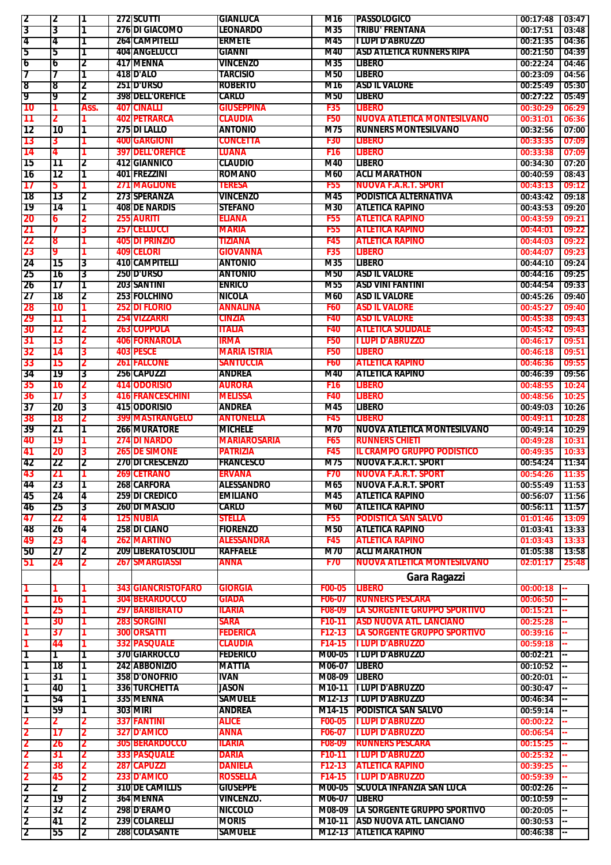| 12                   | 12       | Ι1   |     | <b>272 SCUTTI</b>              | <b>GIANLUCA</b>                | M16            | <b>IPASSOLOGICO</b>                                      | 00:17:48             | 03:47 |
|----------------------|----------|------|-----|--------------------------------|--------------------------------|----------------|----------------------------------------------------------|----------------------|-------|
| 3                    |          |      |     | <b>276 DI GIACOMO</b>          | <b>LEONARDO</b>                | M35            | <b>TRIBU' FRENTANA</b>                                   | 00:17:51             | 03:48 |
|                      | 3        |      |     |                                |                                |                |                                                          |                      |       |
| 4                    | 74       | 1    |     | <b>264 CAMPITELLI</b>          | <b>ERMETE</b>                  | M45            | <b>TLUPI D'ABRUZZO</b>                                   | 00:21:35             | 04:36 |
| 5                    | 5        | 1    |     | 404 ANGELUCCI                  | <b>GIANNI</b>                  | M40            | <b>ASD ATLETICA RUNNERS RIPA</b>                         | 00:21:50             | 04:39 |
| 6                    | 6        | 2    |     | 417 MENNA                      | <b>VINCENZO</b>                | M35            | <b>LIBERO</b>                                            | 00:22:24             | 04:46 |
| 7                    |          | 1    |     | <b>418 D'ALO</b>               | <b>TARCISIO</b>                | <b>M50</b>     | LIBERO                                                   | 00:23:09             | 04:56 |
|                      |          |      |     |                                | <b>ROBERTO</b>                 |                | <b>ASD IL VALORE</b>                                     |                      |       |
| 8                    | 8        | 2    |     | <b>251D'URSO</b>               |                                | M16            |                                                          | 00:25:49             | 05:30 |
| 19                   | 19       | 2    |     | <b>398 DELL'OREFICE</b>        | <b>CARLO</b>                   | <b>M50</b>     | <b>LIBERO</b>                                            | 00:27:22             | 05:49 |
| 10                   |          | Ass. |     | <b>407 CINALLI</b>             | <b>GIUSEPPINA</b>              | <b>F35</b>     | <b>LIBERO</b>                                            | 00:30:29             | 06:29 |
| 11                   |          |      | 402 | <b>IPETRARCA</b>               | <b>CLAUDIA</b>                 | <b>F50</b>     | <b>NUOVA ATLETICA MONTESILVANO</b>                       | 00:31:01             | 06:36 |
|                      |          |      |     | 275 DI LALLO                   | <b>ANTONIO</b>                 | M75            | <b>RUNNERS MONTESILVANO</b>                              | 00:32:56             | 07:00 |
| 12                   | 10       | 1    |     |                                |                                |                |                                                          |                      |       |
| 13                   | 3        |      |     | <b>400 GARGIONI</b>            | <b>CONCETTA</b>                | <b>F30</b>     | <b>LIBERO</b>                                            | 00:33:35             | 07:09 |
| 14                   | 4        |      | 397 | <b>DELL'OREFICE</b>            | LUANA                          | <b>F16</b>     | <b>LIBERO</b>                                            | 00:33:38             | 07:09 |
| 15                   | 11       | 2    |     | 412 GIANNICO                   | <b>CLAUDIO</b>                 | M40            | <b>LIBERO</b>                                            | 00:34:30             | 07:20 |
| 16                   | 12       | 1    |     | 401IFREZZINI                   | <b>ROMANO</b>                  | M60            | <b>ACLI MARATHON</b>                                     | 00:40:59             | 08:43 |
|                      |          |      |     |                                |                                |                |                                                          |                      |       |
| 17                   | 5        |      |     | <b>271 MAGLIONE</b>            | <b>TERESA</b>                  | <b>F55</b>     | <b>NUOVA F.A.R.T. SPORT</b>                              | 00:43:13             | 09:12 |
| 18                   | 13       | 2    |     | 273 SPERANZA                   | <b>VINCENZO</b>                | M45            | <b>PODISTICA ALTERNATIVA</b>                             | 00:43:42             | 09:18 |
| 19                   | 14       |      |     | <b>408 DE NARDIS</b>           | <b>STEFANO</b>                 | M30            | <b>ATLETICA RAPINO</b>                                   | 00:43:53             | 09:20 |
| 20                   | 6        |      |     | <b>255 AURITI</b>              | <b>ELIANA</b>                  | <b>F55</b>     | <b>ATLETICA RAPINO</b>                                   | 00:43:59             | 09:21 |
|                      |          |      |     |                                |                                |                |                                                          |                      |       |
| 21                   |          | 3    | 257 | <b>CELLUCCI</b>                | <b>MARIA</b>                   | <b>F55</b>     | <b>ATLETICA RAPINO</b>                                   | 00:44:01             | 09:22 |
| 22                   | 8        |      |     | <b>405 DI PRINZIO</b>          | <b>TIZIANA</b>                 | <b>F45</b>     | <b>ATLETICA RAPINO</b>                                   | 00:44:03             | 09:22 |
| 23                   | 9        |      |     | <b>409 CELORI</b>              | <b>GIOVANNA</b>                | <b>F35</b>     | <b>LIBERO</b>                                            | 00:44:07             | 09:23 |
| 24                   | 15       | 3    |     | 410 CAMPITELLI                 | <b>ANTONIO</b>                 | M35            | LIBERO                                                   | 00:44:10             | 09:24 |
|                      |          |      |     |                                |                                |                |                                                          |                      |       |
| 25                   | 16       | 3    |     | <b>250 D'URSO</b>              | <b>ANTONIO</b>                 | <b>M50</b>     | <b>ASD IL VALORE</b>                                     | 00:44:16             | 09:25 |
| 26                   | 17       | 1    |     | 203 SANTINI                    | <b>ENRICO</b>                  | M55            | <b>ASD VINI FANTINI</b>                                  | 00:44:54             | 09:33 |
| 27                   | 18       | 2    |     | <b>253 FOLCHINO</b>            | <b>NICOLA</b>                  | M60            | <b>ASD IL VALORE</b>                                     | 00:45:26             | 09:40 |
| 28                   | 10       |      | 252 | <b>DI FLORIO</b>               | <b>ANNALINA</b>                | <b>F60</b>     | <b>ASD IL VALORE</b>                                     | 00:45:27             | 09:40 |
|                      |          |      |     |                                |                                |                |                                                          |                      |       |
| 29                   | 11       |      | 254 | <b>VIZZARRI</b>                | <b>CINZIA</b>                  | F40            | <b>ASD IL VALORE</b>                                     | 00:45:38             | 09:43 |
| 30                   | 12       | 2    |     | <b>263 COPPOLA</b>             | <b>ITALIA</b>                  | F40            | <b>ATLETICA SOLIDALE</b>                                 | 00:45:42             | 09:43 |
| 31                   | 13       | 2    |     | <b>406 FORNAROLA</b>           | IRMA                           | <b>F50</b>     | <b>I LUPI D'ABRUZZO</b>                                  | 00:46:17             | 09:51 |
| 32                   | 14       | 3    |     | 403 PESCE                      | <b>MARIA ISTRIA</b>            | <b>F50</b>     | <b>LIBERO</b>                                            | 00:46:18             | 09:51 |
|                      |          |      |     |                                |                                |                |                                                          |                      |       |
| 33                   | 15       | 2    |     | <b>261 FALCONE</b>             | <b>SANTUCCIA</b>               | <b>F60</b>     | <b>ATLETICA RAPINO</b>                                   | 00:46:36             | 09:55 |
| 34                   | 79       | 3    |     | 256 CAPUZZI                    | <b>ANDREA</b>                  | M40            | <b>ATLETICA RAPINO</b>                                   | 00:46:39             | 09:56 |
| 35                   | 16       |      |     | 414 ODORISIO                   | <b>AURORA</b>                  | <b>F16</b>     | <b>LIBERO</b>                                            | 00:48:55             | 10:24 |
| 36                   | 17       | 3    |     | <b>416 FRANCESCHINI</b>        | <b>MELISSA</b>                 | F40            | LIBERO                                                   | 00:48:56             | 10:25 |
|                      |          |      |     |                                |                                |                |                                                          |                      |       |
| 37                   | 20       | 3    |     | 415 <b>ODORISIO</b>            | <b>ANDREA</b>                  | M45            | <b>LIBERO</b>                                            | 00:49:03             | 10:26 |
| 38                   | 18       | 2    | 399 | <b>MASTRANGELO</b>             | <b>ANTONELLA</b>               | <b>F45</b>     | <b>LIBERO</b>                                            | 00:49:11             | 10:28 |
| 39                   | 21       | 1    |     | <b>266 MURATORE</b>            | <b>MICHELE</b>                 | M70            | <b>NUOVA ATLETICA MONTESILVANO</b>                       | 00:49:14             | 10:29 |
| 40                   | 19       |      |     | <b>274 DI NARDO</b>            | <b>MARIAROSARIA</b>            | F65            | <b>RUNNERS CHIETI</b>                                    | 00:49:28             | 10:31 |
|                      |          |      |     |                                |                                |                |                                                          |                      |       |
| 41                   | 20       | 3    | 265 | <b>IDE SIMONE</b>              | <b>PATRIZIA</b>                | F45            | <b>IL CRAMPO GRUPPO PODISTICO</b>                        | 00:49:35             | 10:33 |
| 42                   | 22       | 2    |     | <b>270 DI CRESCENZO</b>        | <b>FRANCESCO</b>               | M75            | <b>NUOVA F.A.R.T. SPORT</b>                              | 00:54:24             | 11:34 |
| 43                   | Z I      |      |     | 269 CETRANO                    | <b>ERVANA</b>                  | F70            | <b>NUOVA F.A.R.T. SPORT</b>                              | 00:54:26             | 11:35 |
| 44                   | 23       | П    |     | 268 CARFORA                    | ALESSANDRO                     | M65            | <b>NUOVA F.A.R.T. SPORT</b>                              | 00:55:49             | 11:53 |
|                      | 24       | 4    |     | <b>259 DI CREDICO</b>          | <b>EMILIANO</b>                | M45            | <b>ATLETICA RAPINO</b>                                   | 00:56:07             | 11:56 |
| 45                   |          |      |     |                                |                                |                |                                                          |                      |       |
| 46                   | 25       | Β.   |     | <b>260IDI MASCIO</b>           | CARLO                          | M60            | <b>ATLETICA RAPINO</b>                                   | 00:56:11             | 11:57 |
| 47                   | 22       | 4    |     | <b>125 NUBIA</b>               | <b>STELLA</b>                  | <b>F55</b>     | <b>PODISTICA SAN SALVO</b>                               | 01:01:46             | 13:09 |
| <b>48</b>            | 26       | 4    |     | <b>258 DI CIANO</b>            | <b>FIORENZO</b>                | M50            | <b>ATLETICA RAPINO</b>                                   | 01:03:41             | 13:33 |
| 49                   | 23       | 4    |     | <b>262 MARTINO</b>             | <b>ALESSANDRA</b>              | F45            | <b>ATLETICA RAPINO</b>                                   | 01:03:43             | 13:33 |
|                      |          |      |     |                                |                                |                |                                                          |                      |       |
| 50                   | 27       | 2    |     | <b>209 LIBERATOSCIOLI</b>      | <b>RAFFAELE</b>                | M70            | <b>ACLI MARATHON</b>                                     | 01:05:38             | 13:58 |
| 51                   | 24       | 2    |     | <b>267 SMARGIASSI</b>          | <b>ANNA</b>                    | <b>F70</b>     | <b>NUOVA ATLETICA MONTESILVANO</b>                       | 02:01:17             | 25:48 |
|                      |          |      |     |                                |                                |                |                                                          |                      |       |
|                      |          |      |     |                                |                                |                | Gara Ragazzi                                             |                      |       |
| 1                    |          |      |     | <b>343 GIANCRISTOFARO</b>      | <b>GIORGIA</b>                 | F00-05         | <b>LIBERO</b>                                            | 00:00:18             |       |
| 1                    | 16       |      |     | <b>304 BERARDOCCO</b>          | GIADA                          | F06-07         | <b>RUNNERS PESCARA</b>                                   | 00:06:50             |       |
|                      | 25       |      |     | <b>297 BARBIERATO</b>          | <b>ILARIA</b>                  | <b>F08-09</b>  | <b>LA SORGENTE GRUPPO SPORTIVO</b>                       | 00:15:21             |       |
|                      | 30       |      |     | <b>283 SORGINI</b>             | <b>SARA</b>                    | F10-11         | <b>ASD NUOVA ATL. LANCIANO</b>                           | 00:25:28             |       |
|                      |          |      |     |                                |                                |                |                                                          |                      |       |
| 1                    |          |      |     | <b>300 ORSATTI</b>             | <b>FEDERICA</b>                |                | <b>LA SORGENTE GRUPPO SPORTIVO</b>                       | 00:39:16             |       |
|                      | 37       |      |     |                                |                                | $F12-13$       |                                                          |                      |       |
|                      | 44       |      |     | <b>332 PASQUALE</b>            | <b>CLAUDIA</b>                 | F14-15         | <b>I LUPI D'ABRUZZO</b>                                  | 00:59:18             |       |
| 1                    | 1        | 1    |     | <b>370 GIARROCCO</b>           | <b>FEDERICO</b>                | M00-05         |                                                          | $00:02:21$ -         |       |
|                      |          |      |     |                                |                                |                | <b>ILUPID'ABRUZZO</b>                                    |                      |       |
| Τ                    | 18       | 1    |     | 242 ABBONIZIO                  | <b>MATTIA</b>                  | M06-07         | <b>LIBERO</b>                                            | 00:10:52             |       |
| ד                    | 31       | 1    |     | <b>358 D'ONOFRIO</b>           | <b>IVAN</b>                    | M08-09         | <b>LIBERO</b>                                            | 00:20:01             |       |
| 1                    | 40       | 11   |     | <b>336 TURCHETTA</b>           | JASON                          |                | M10-11   LUPI D'ABRUZZO                                  | 00:30:47             |       |
| 1                    |          | Π    |     |                                | <b>SAMUELE</b>                 |                | M12-13 ILUPI D'ABRUZZO                                   |                      |       |
|                      | 54       |      |     | 335 MENNA                      |                                |                |                                                          | 00:46:34             |       |
| 1                    | 59       | 1    |     | <b>303 MIRI</b>                | <b>ANDREA</b>                  |                | <b>M14-15 PODISTICA SAN SALVO</b>                        | 00:59:14             |       |
| 2                    |          |      |     | <b>337 FANTINI</b>             | <b>ALICE</b>                   | <b>F00-05</b>  | <b>I LUPI D'ABRUZZO</b>                                  | 00:00:22             |       |
| 2                    | 17       | 2    |     | <b>327 D'AMICO</b>             | <b>ANNA</b>                    | <b>F06-07</b>  | <b>I LUPI D'ABRUZZO</b>                                  | 00:06:54             |       |
| 2                    | 26       | 2    |     | <b>305 BERARDOCCO</b>          | <b>ILARIA</b>                  | <b>F08-09</b>  | <b>RUNNERS PESCARA</b>                                   | 00:15:25             |       |
|                      |          |      |     |                                |                                |                |                                                          |                      |       |
| 2                    | 31       | 2    |     | <b>333 PASQUALE</b>            | DARIA                          | F10-11         | <b>I LUPI D'ABRUZZO</b>                                  | 00:25:32             |       |
| 2                    | 38       | 2    |     | <b>287 CAPUZZI</b>             | <b>DANIELA</b>                 | F12-13         | <b>ATLETICA RAPINO</b>                                   | 00:39:25             |       |
| 2                    | 45       |      |     | 233 D'AMICO                    | <b>ROSSELLA</b>                | F14-15         | <b>TLUPI D'ABRUZZO</b>                                   | 00:59:39             |       |
| 2                    | 2        | 2    |     | <b>310 DE CAMILLIS</b>         | <b>GIUSEPPE</b>                | M00-05         | <b>SCUOLA INFANZIA SAN LUCA</b>                          | 00:02:26             |       |
|                      |          |      |     |                                |                                |                |                                                          |                      |       |
| 2                    | 19       | 2    |     | 364 MENNA                      | <b>VINCENZO.</b>               | M06-07 ILIBERO |                                                          | 00:10:59             |       |
| 2                    | 32       | 12   |     | 298 D'ERAMO                    | <b>NICCOLO</b>                 |                | <b>M08-09 LA SORGENTE GRUPPO SPORTIVO</b>                | 00:20:05             |       |
| 12<br>$\overline{2}$ | 41<br>55 | 12   |     | 239 COLARELLI<br>288 COLASANTE | <b>MORIS</b><br><b>SAMUELE</b> |                | M10-11 ASD NUOVA ATL. LANCIANO<br>M12-13 ATLETICA RAPINO | 00:30:53<br>00:46:38 |       |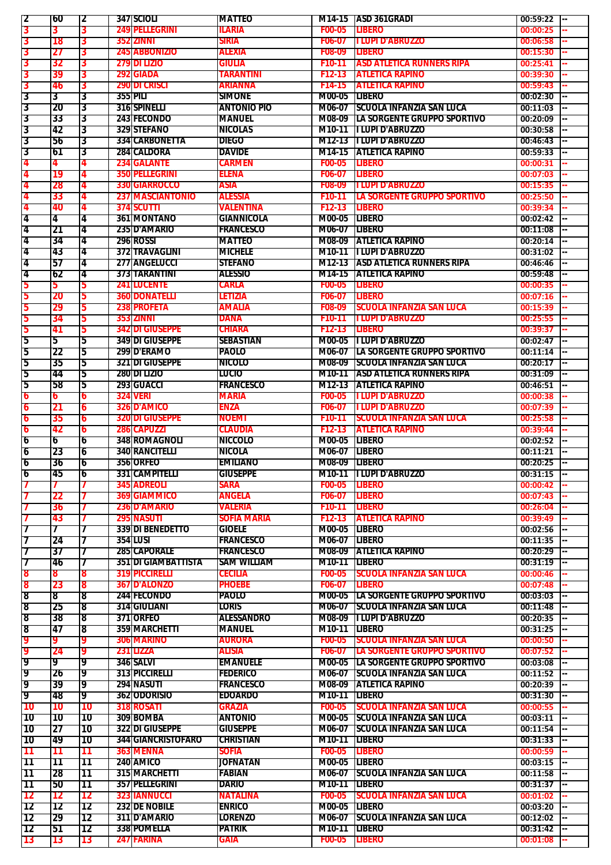| 12                       | <b>60</b>       | 2         |     | <b>347 SCIOLI</b>          | <b>MATTEO</b>      |                     | M14-15 ASD 361GRADI                       | 00:59:22<br>I--          |
|--------------------------|-----------------|-----------|-----|----------------------------|--------------------|---------------------|-------------------------------------------|--------------------------|
| 3                        |                 | 3         |     | <b>249 PELLEGRINI</b>      | <b>ILARIA</b>      | <b>F00-05</b>       | <b>LIBERO</b>                             | 00:00:25                 |
|                          | 3               |           |     |                            |                    |                     |                                           |                          |
| 3                        | 18              | 3         | 352 | <b>ZINNI</b>               | SIRIA              | F06-07              | <b>II LUPI D'ABRUZZO</b>                  | 00:06:58                 |
| 3                        | 27              | 3         |     | <b>245 ABBONIZIO</b>       | <b>ALEXIA</b>      | F08-09              | <b>LIBERO</b>                             | 00:15:30                 |
| 3                        | 32              | 3         |     | <b>279 DI LIZIO</b>        | GIULIA             | F <sub>10</sub> -11 | IASD ATLETICA RUNNERS RIPA                | 00:25:41                 |
|                          |                 |           |     |                            |                    |                     |                                           |                          |
| 3                        | 39              | 3         |     | <b>292 GIADA</b>           | TARANTINI          | F12-13              | <b>ATLETICA RAPINO</b>                    | 00:39:30                 |
| 3                        | 46              | 3         |     | <b>290 DI CRISCI</b>       | ARIANNA            | F14-15              | <b>ATLETICA RAPINO</b>                    | 00:59:43                 |
| 3                        | 3               | 3         |     | 3551PILT                   | <b>SIMONE</b>      | M00-05              | <b>TLIBERO</b>                            | 00:02:30                 |
|                          |                 |           |     |                            | <b>ANTONIO PIO</b> |                     | <b>ISCUOLA INFANZIA SAN LUCA</b>          |                          |
| 3                        | 20              | 3         |     | 316 SPINELLI               |                    | M06-07              |                                           | 00:11:03                 |
| 3                        | 33              | 3         |     | <b>243IFECONDO</b>         | <b>MANUEL</b>      | M08-09              | <b>ILA SORGENTE GRUPPO SPORTIVO</b>       | 00:20:09                 |
| Γ3                       | 42              | 3         |     | 329 STEFANO                | <b>NICOLAS</b>     |                     | M10-11 II LUPI D'ABRUZZO                  | 00:30:58                 |
| 3                        | 56              | 3         |     | 334 CARBONETTA             | <b>DIEGO</b>       |                     | M12-13  I LUPI D'ABRUZZO                  | 00:46:43                 |
|                          |                 |           |     |                            |                    |                     |                                           |                          |
| 3                        | 61              | 3         |     | 284 CALDORA                | <b>DAVIDE</b>      | M14-15              | <b>ATLETICA RAPINO</b>                    | 00:59:33                 |
| 4                        | 4               | 4         |     | <b>234 GALANTE</b>         | <b>CARMEN</b>      | <b>F00-05</b>       | <b>LIBERO</b>                             | 00:00:31                 |
| 4                        | 19              | 4         |     | <b>350 PELLEGRINI</b>      | <b>ELENA</b>       | F06-07              | <b>LIBERO</b>                             | 00:07:03                 |
|                          |                 | 4         |     | <b>330 GIARROCCO</b>       | <b>ASIA</b>        | <b>F08-09</b>       | <b>ILUPID'ABRUZZO</b>                     |                          |
| 4                        | 28              |           |     |                            |                    |                     |                                           | 00:15:35                 |
| 4                        | 33              |           |     | <b>237 MASCIANTONIO</b>    | ALESSIA            | F <sub>10</sub> -11 | ILA SORGENTE GRUPPO SPORTIVO              | 00:25:50                 |
| 4                        | 40              | 4         |     | <b>374 SCUTTI</b>          | <b>VALENTINA</b>   | F12-13              | <b>LIBERO</b>                             | 00:39:34                 |
| 14                       | 4               | 4         |     | 361 MONTANO                | <b>GIANNICOLA</b>  | M00-05              | <b>TLIBERO</b>                            | 00:02:42                 |
|                          |                 |           |     |                            |                    |                     |                                           |                          |
| 14                       | 21              | 4         |     | 235 D'AMARIO               | <b>FRANCESCO</b>   | M06-07 ILIBERO      |                                           | 00:11:08                 |
| 14                       | 34              | 4         |     | 296 ROSSI                  | <b>MATTEO</b>      |                     | <b>M08-09 ATLETICA RAPINO</b>             | 00:20:14                 |
| 14                       | 43              | 4         |     | 372 TRAVAGLINI             | <b>MICHELE</b>     |                     | M10-11   LUPI D'ABRUZZO                   | 00:31:02                 |
| 14                       | 57              | 4         |     | <b>277 ANGELUCCI</b>       | <b>STEFANO</b>     |                     | M12-13 ASD ATLETICA RUNNERS RIPA          | 00:46:46                 |
|                          |                 |           |     |                            |                    |                     |                                           |                          |
| 4                        | 62              | 4         |     | 373ITARANTINI              | <b>ALESSIO</b>     |                     | <b>M14-15 ATLETICA RAPINO</b>             | 00:59:48                 |
| 5                        | 5               | 5         |     | <b>241 LUCENTE</b>         | CARLA              | <b>F00-05</b>       | <b>LIBERO</b>                             | 00:00:35                 |
| 5                        | 20              | 5         |     | <b>360 DONATELLI</b>       | LETIZIA            | F06-07              | <b>LIBERO</b>                             | 00:07:16                 |
|                          |                 |           |     |                            |                    |                     | ISCUOLA INFANZIA SAN LUCA                 |                          |
| b                        | 29              | 5         |     | <b>238 PROFETA</b>         | AMALIA             | <b>F08-09</b>       |                                           | 00:15:39                 |
| 5                        | 34              | 5         |     | <b>353 ZINNI</b>           | DANA               | F <sub>10</sub> -11 | <b>ILUPI D'ABRUZZO</b>                    | 00:25:55                 |
| 5                        | 41              | 5         |     | 3421DI GIUSEPPE            | CHIARA             | F12-13              | <b>LIBERO</b>                             | 00:39:37                 |
| 5                        | 5               | 5         |     | <b>349 DI GIUSEPPE</b>     | <b>SEBASTIAN</b>   | M00-05              | <b>TILUPI D'ABRUZZO</b>                   | 00:02:47                 |
|                          |                 |           |     |                            |                    |                     |                                           |                          |
| 15                       | 22              | 5         |     | <b>299 D'ERAMO</b>         | <b>PAOLO</b>       | M06-07              | <b>LA SORGENTE GRUPPO SPORTIVO</b>        | 00:11:14                 |
| 15                       | 35              | 5         |     | <b>321 DI GIUSEPPE</b>     | <b>NICOLO</b>      | M08-09              | <b>ISCUOLA INFANZIA SAN LUCA</b>          | 00:20:17                 |
| 15                       | 44              | 5         |     | <b>280 DI LIZIO</b>        | LUCIO              | M10-11              | <b>IASD ATLETICA RUNNERS RIPA</b>         | 00:31:09                 |
|                          |                 |           |     | <b>293 GUACCI</b>          | <b>FRANCESCO</b>   |                     | <b>ATLETICA RAPINO</b>                    |                          |
| 5                        | 58              | 5         |     |                            |                    | M12-13              |                                           | 00:46:51                 |
| 6                        | 6               | 6         |     | <b>324 VERI</b>            | <b>MARIA</b>       | <b>F00-05</b>       | <b>ILLUPI D'ABRUZZO</b>                   | 00:00:38                 |
| $\mathbf 6$              | 21              | 6         |     | <b>326 D'AMICO</b>         | ENZA               | F06-07              | <b>ILLUPI D'ABRUZZO</b>                   | 00:07:39                 |
| 6                        | 35              | 6         |     | <b>320 DI GIUSEPPE</b>     | <b>NOEMI</b>       | F <sub>10</sub> -11 | <b>ISCUOLA INFANZIA SAN LUCA</b>          | 00:25:58                 |
|                          |                 |           |     |                            |                    |                     |                                           |                          |
| 6                        | 42              | 6         |     | <b>286 CAPUZZI</b>         | <b>CLAUDIA</b>     | F12-13              | <b>ATLETICA RAPINO</b>                    | 00:39:44                 |
| 6                        | 6               | 6         |     | <b>348IROMAGNOLI</b>       | <b>NICCOLO</b>     | M00-05              | <b>TLIBERO</b>                            | 00:02:52                 |
| 16                       | 23              | 6         |     | <b>340 RANCITELLI</b>      | <b>NICOLA</b>      | M06-07 LIBERO       |                                           | 00:11:21                 |
| 16                       | 36              |           |     | <b>356IORFEO</b>           | <b>EMILIANO</b>    | M08-09 ILIBERO      |                                           | 00:20:25                 |
|                          |                 | 6         |     |                            |                    |                     |                                           | $\overline{\phantom{a}}$ |
| O                        | 45              | u         |     | 331 CAMPITELLI             | <b>GIUSEPPE</b>    |                     | M10-11 ILUPI D'ABRUZZO                    | 00:31:15                 |
|                          |                 |           |     | <b>345 ADREOLI</b>         | <b>SARA</b>        | <b>F00-05</b>       | <b>LIBERO</b>                             | 00:00:42<br>- 1          |
|                          | 22              |           |     | <b>369 GIAMMICO</b>        | <b>ANGELA</b>      | F06-07              | <b>LIBERO</b>                             | 00:07:43                 |
|                          |                 |           |     |                            |                    |                     |                                           |                          |
|                          | 36              |           |     | <b>236 D'AMARIO</b>        | VALERIA            | F10-11              | <b>LIBERO</b>                             | 00:26:04                 |
|                          | 43              |           |     | <b>295 NASUTI</b>          | <b>SOFIA MARIA</b> | F12-13              | <b>ATLETICA RAPINO</b>                    | 00:39:49                 |
|                          |                 |           |     | <b>339 DI BENEDETTO</b>    | <b>GIOELE</b>      | M00-05              | <b>LIBERO</b>                             | 00:02:56                 |
| 17                       | 24              | 7         |     | <b>354 LUSI</b>            | <b>FRANCESCO</b>   | M06-07 LIBERO       |                                           | 00:11:35                 |
|                          |                 |           |     |                            |                    |                     |                                           |                          |
| 17                       | 37              | 7         |     | 285 CAPORALE               | <b>FRANCESCO</b>   |                     | M08-09 ATLETICA RAPINO                    | 00:20:29                 |
|                          | 46              | 7         |     | <b>351 DI GIAMBATTISTA</b> | SAM WILLIAM        | M10-11 LIBERO       |                                           | 00:31:19                 |
| 8                        | 8               | 8         |     | <b>319 PICCIRELLI</b>      | <b>CECILIA</b>     | <b>F00-05</b>       | <b>ISCUOLA INFANZIA SAN LUCA</b>          | 00:00:46                 |
|                          |                 |           |     | <b>367 D'ALONZO</b>        | <b>PHOEBE</b>      | F06-07              | <b>LIBERO</b>                             | 00:07:48                 |
| 8                        | 23              | 8         |     |                            |                    |                     |                                           |                          |
| 8                        | 8               | 8         |     | <b>244 FECONDO</b>         | PAOLO              |                     | M00-05 LA SORGENTE GRUPPO SPORTIVO        | 00:03:03                 |
| 8                        | 25              | 8         |     | <b>314 GIULIANI</b>        | LORIS              |                     | M06-07 SCUOLA INFANZIA SAN LUCA           | 00:11:48                 |
| 8                        | '38             | 8         |     | <b>371 ORFEO</b>           | <b>ALESSANDRO</b>  |                     | M08-09 ILUPID'ABRUZZO                     | 00:20:35                 |
| 8                        | 47              | 8         |     | 359 MARCHETTI              | <b>MANUEL</b>      | M10-11              | <b>LIBERO</b>                             | 00:31:25                 |
|                          |                 |           |     |                            |                    |                     |                                           |                          |
| 19                       |                 |           |     | <b>306 MARINO</b>          | <b>AURORA</b>      | <b>F00-05</b>       | <b>SCUOLA INFANZIA SAN LUCA</b>           | 00:00:50                 |
| 9                        | 24              | 9         |     | 231 LIZZA                  | alisia             | F06-07              | LA SORGENTE GRUPPO SPORTIVO               | 00:07:52                 |
| 19                       | 9               | 9         |     | <b>346 SALVI</b>           | <b>EMANUELE</b>    |                     | <b>M00-05 LA SORGENTE GRUPPO SPORTIVO</b> | 00:03:08                 |
|                          |                 |           |     |                            |                    |                     |                                           |                          |
| 19                       | 26              | 9         |     | <b>313 PICCIRELLI</b>      | <b>FEDERICO</b>    |                     | <b>M06-07 SCUOLA INFANZIA SAN LUCA</b>    | 00:11:52                 |
| 19                       | 39              | 9         |     | <b>294 NASUTI</b>          | <b>FRANCESCO</b>   | M08-09              | <b>ATLETICA RAPINO</b>                    | 00:20:39                 |
| 19                       | 48              | 9         |     | 362 ODORISIO               | <b>EDOARDO</b>     | M10-11              | <b>LIBERO</b>                             | 00:31:30                 |
| <b>10</b>                | 10              | 10        |     | <b>318 ROSATI</b>          | <b>GRAZIA</b>      | <b>F00-05</b>       | <b>SCUOLA INFANZIA SAN LUCA</b>           | 00:00:55                 |
|                          |                 |           |     |                            |                    |                     |                                           |                          |
| [10                      | <b>10</b>       | l 10      |     | 309 BOMBA                  | <b>ANTONIO</b>     |                     | M00-05 SCUOLA INFANZIA SAN LUCA           | 00:03:11                 |
| [10                      | 27              | '10       |     | <b>322 DI GIUSEPPE</b>     | <b>GIUSEPPE</b>    |                     | <b>M06-07 SCUOLA INFANZIA SAN LUCA</b>    | 00:11:54                 |
| 10                       | 49              | 10        |     | <b>344 GIANCRISTOFARO</b>  | <b>CHRISTIAN</b>   | M10-11              | <b>TLIBERO</b>                            | 00:31:33                 |
|                          |                 |           |     | 363 MENNA                  |                    |                     |                                           |                          |
| 11                       | 11              | 11        |     |                            | <b>SOFIA</b>       | F00-05              | <b>LIBERO</b>                             | 00:00:59                 |
| 11                       | 11              | 11        |     | 240 AMICO                  | <b>JOFNATAN</b>    | M00-05 LIBERO       |                                           | 00:03:15                 |
| 11                       | 28              | 11        |     | 315 MARCHETTI              | <b>FABIAN</b>      |                     | M06-07 SCUOLA INFANZIA SAN LUCA           | 00:11:58                 |
| 11                       | 50              | 11        |     | 357IPELLEGRINI             | DARIO              | M10-11 LIBERO       |                                           | 00:31:37                 |
|                          |                 |           |     |                            | <b>NATALINA</b>    |                     | <b>SCUOLA INFANZIA SAN LUCA</b>           |                          |
| $\overline{\mathbf{12}}$ | 12              | 12        |     | <b>323 IANNUCCI</b>        |                    | <b>F00-05</b>       |                                           | 00:01:02                 |
| 12                       | 12              | 12        |     | <b>232 DE NOBILE</b>       | <b>ENRICO</b>      | M00-05              | <b>LIBERO</b>                             | 00:03:20                 |
| 12                       | 29              | 12        |     | 311ID'AMARIO               | <b>LORENZO</b>     |                     | M06-07 ISCUOLA INFANZIA SAN LUCA          | 00:12:02                 |
| [12                      | 151             | 12        |     | 338 POMELLA                | <b>PATRIK</b>      | M10-11 LIBERO       |                                           | 00:31:42                 |
|                          |                 |           |     |                            |                    |                     |                                           |                          |
| $\overline{13}$          | $\overline{13}$ | <b>13</b> |     | <b>247 FARINA</b>          | GAIA               | <b>F00-05</b>       | <b>LIBERO</b>                             | 00:01:08<br>44           |